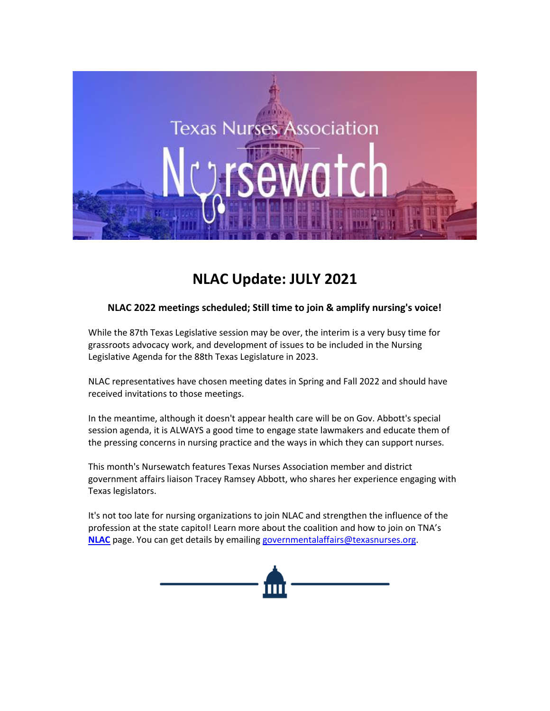

# **NLAC Update: JULY 2021**

### **NLAC 2022 meetings scheduled; Still time to join & amplify nursing's voice!**

While the 87th Texas Legislative session may be over, the interim is a very busy time for grassroots advocacy work, and development of issues to be included in the Nursing Legislative Agenda for the 88th Texas Legislature in 2023.

NLAC representatives have chosen meeting dates in Spring and Fall 2022 and should have received invitations to those meetings.

In the meantime, although it doesn't appear health care will be on Gov. Abbott's special session agenda, it is ALWAYS a good time to engage state lawmakers and educate them of the pressing concerns in nursing practice and the ways in which they can support nurses.

This month's Nursewatch features Texas Nurses Association member and district government affairs liaison Tracey Ramsey Abbott, who shares her experience engaging with Texas legislators.

It's not too late for nursing organizations to join NLAC and strengthen the influence of the profession at the state capitol! Learn more about the coalition and how to join on TNA's **[NLAC](https://www.texasnurses.org/page/NLAC)** page. You can get details by emailing [governmentalaffairs@texasnurses.org.](mailto:governmentalaffairs@texasnurses.org)

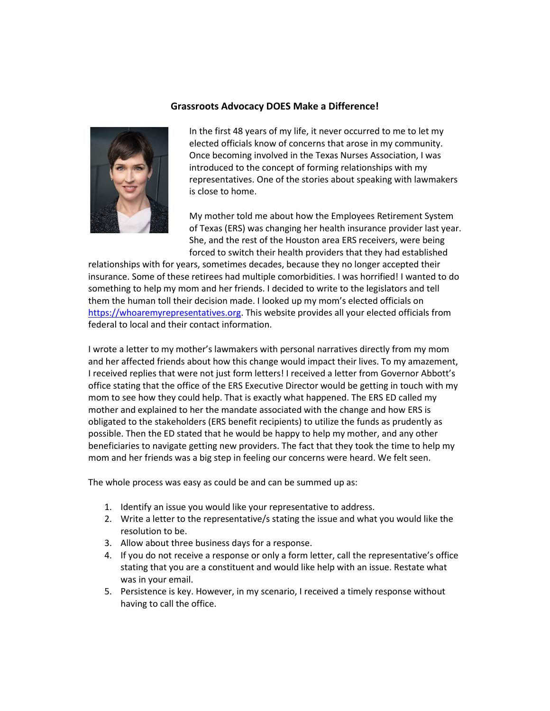#### **Grassroots Advocacy DOES Make a Difference!**



In the first 48 years of my life, it never occurred to me to let my elected officials know of concerns that arose in my community. Once becoming involved in the Texas Nurses Association, I was introduced to the concept of forming relationships with my representatives. One of the stories about speaking with lawmakers is close to home.

My mother told me about how the Employees Retirement System of Texas (ERS) was changing her health insurance provider last year. She, and the rest of the Houston area ERS receivers, were being forced to switch their health providers that they had established

relationships with for years, sometimes decades, because they no longer accepted their insurance. Some of these retirees had multiple comorbidities. I was horrified! I wanted to do something to help my mom and her friends. I decided to write to the legislators and tell them the human toll their decision made. I looked up my mom's elected officials on [https://whoaremyrepresentatives.org.](https://whoaremyrepresentatives.org/) This website provides all your elected officials from federal to local and their contact information.

I wrote a letter to my mother's lawmakers with personal narratives directly from my mom and her affected friends about how this change would impact their lives. To my amazement, I received replies that were not just form letters! I received a letter from Governor Abbott's office stating that the office of the ERS Executive Director would be getting in touch with my mom to see how they could help. That is exactly what happened. The ERS ED called my mother and explained to her the mandate associated with the change and how ERS is obligated to the stakeholders (ERS benefit recipients) to utilize the funds as prudently as possible. Then the ED stated that he would be happy to help my mother, and any other beneficiaries to navigate getting new providers. The fact that they took the time to help my mom and her friends was a big step in feeling our concerns were heard. We felt seen.

The whole process was easy as could be and can be summed up as:

- 1. Identify an issue you would like your representative to address.
- 2. Write a letter to the representative/s stating the issue and what you would like the resolution to be.
- 3. Allow about three business days for a response.
- 4. If you do not receive a response or only a form letter, call the representative's office stating that you are a constituent and would like help with an issue. Restate what was in your email.
- 5. Persistence is key. However, in my scenario, I received a timely response without having to call the office.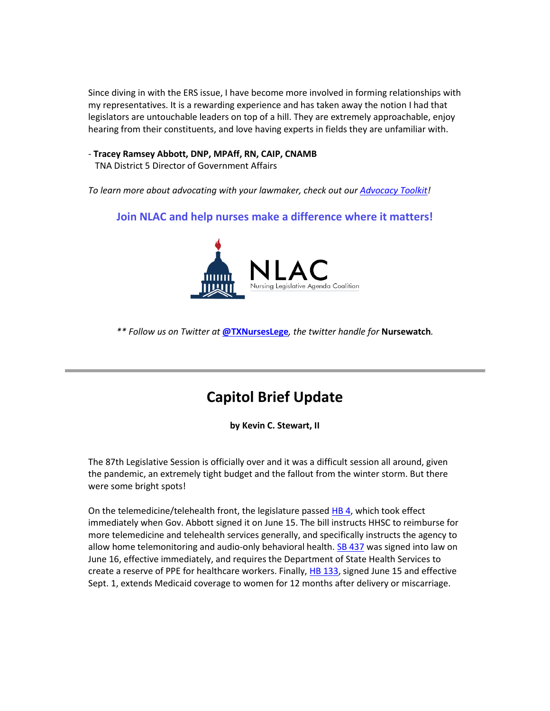Since diving in with the ERS issue, I have become more involved in forming relationships with my representatives. It is a rewarding experience and has taken away the notion I had that legislators are untouchable leaders on top of a hill. They are extremely approachable, enjoy hearing from their constituents, and love having experts in fields they are unfamiliar with.

- **Tracey Ramsey Abbott, DNP, MPAff, RN, CAIP, CNAMB**

TNA District 5 Director of Government Affairs

*To learn more about advocating with your lawmaker, check out our [Advocacy Toolkit!](https://www.texasnurses.org/general/custom.asp?page=AdvocacyToolkit)*

### **Join NLAC and help nurses make a difference where it matters!**



*\*\* Follow us on Twitter at* **[@TXNursesLege](https://twitter.com/TXNursesLege)***, the twitter handle for* **Nursewatch***.*

## **Capitol Brief Update**

**by Kevin C. Stewart, II**

The 87th Legislative Session is officially over and it was a difficult session all around, given the pandemic, an extremely tight budget and the fallout from the winter storm. But there were some bright spots!

On the telemedicine/telehealth front, the legislature passed [HB 4,](https://capitol.texas.gov/BillLookup/History.aspx?LegSess=87R&Bill=HB4) which took effect immediately when Gov. Abbott signed it on June 15. The bill instructs HHSC to reimburse for more telemedicine and telehealth services generally, and specifically instructs the agency to allow home telemonitoring and audio-only behavioral health. [SB 437](https://capitol.texas.gov/BillLookup/History.aspx?LegSess=87R&Bill=SB437) was signed into law on June 16, effective immediately, and requires the Department of State Health Services to create a reserve of PPE for healthcare workers. Finally[, HB 133,](https://capitol.texas.gov/BillLookup/History.aspx?LegSess=87R&Bill=HB133) signed June 15 and effective Sept. 1, extends Medicaid coverage to women for 12 months after delivery or miscarriage.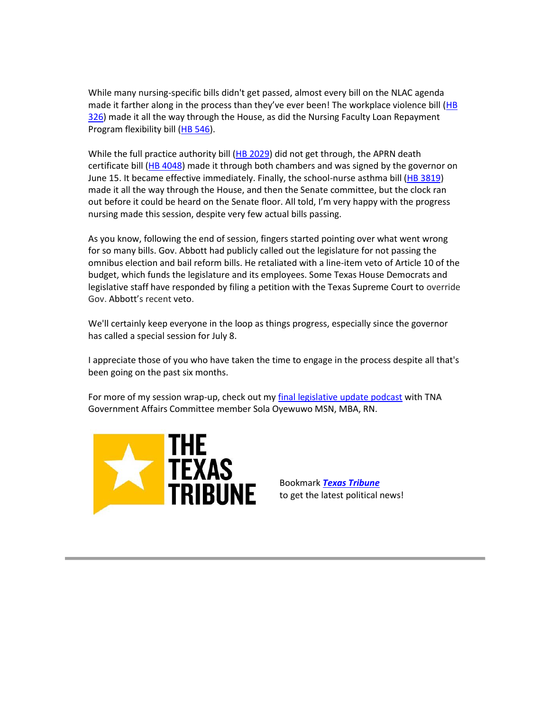While many nursing-specific bills didn't get passed, almost every bill on the NLAC agenda made it farther along in the process than they've ever been! The workplace violence bill (HB [326\)](https://capitol.texas.gov/BillLookup/History.aspx?LegSess=87R&Bill=HB326) made it all the way through the House, as did the Nursing Faculty Loan Repayment Program flexibility bill [\(HB 546\)](https://capitol.texas.gov/BillLookup/History.aspx?LegSess=87R&Bill=HB546).

While the full practice authority bill [\(HB 2029\)](https://capitol.texas.gov/BillLookup/History.aspx?LegSess=87R&Bill=HB2029) did not get through, the APRN death certificate bill [\(HB 4048\)](https://capitol.texas.gov/BillLookup/History.aspx?LegSess=87R&Bill=HB4048) made it through both chambers and was signed by the governor on June 15. It became effective immediately. Finally, the school-nurse asthma bill [\(HB 3819\)](https://capitol.texas.gov/BillLookup/History.aspx?LegSess=87R&Bill=HB3819) made it all the way through the House, and then the Senate committee, but the clock ran out before it could be heard on the Senate floor. All told, I'm very happy with the progress nursing made this session, despite very few actual bills passing.

As you know, following the end of session, fingers started pointing over what went wrong for so many bills. Gov. Abbott had publicly called out the legislature for not passing the omnibus election and bail reform bills. He retaliated with a line-item veto of Article 10 of the budget, which funds the legislature and its employees. Some Texas House Democrats and legislative staff have responded by filing a petition with the Texas Supreme Court to override Gov. Abbott's recent veto.

We'll certainly keep everyone in the loop as things progress, especially since the governor has called a special session for July 8.

I appreciate those of you who have taken the time to engage in the process despite all that's been going on the past six months.

For more of my session wrap-up, check out m[y final legislative update podcast](https://d3ctxlq1ktw2nl.cloudfront.net/staging/2021-06-25/a9ef017ac4ea8523627bbc695af136e6.m4a) with TNA Government Affairs Committee member Sola Oyewuwo MSN, MBA, RN.



Bookmark *[Texas Tribune](https://www.votervoice.net/BroadcastLinks/DdNv9gKz6ggw4_oztL-eQg)* to get the latest political news!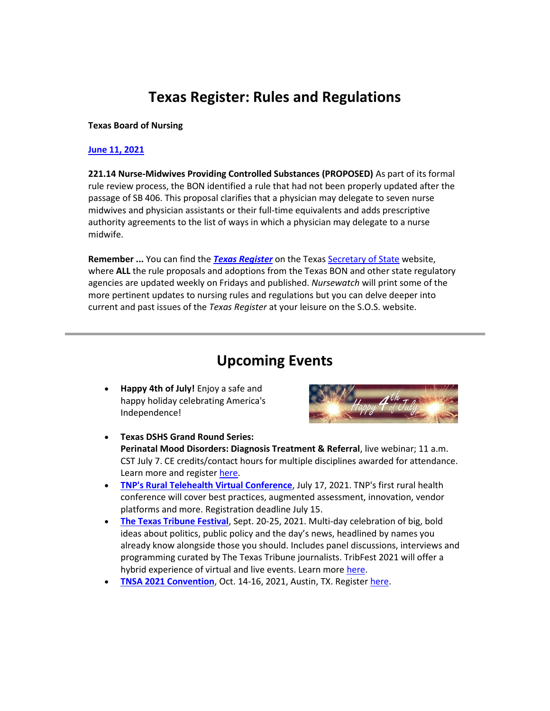## **Texas Register: Rules and Regulations**

#### **Texas Board of Nursing**

#### **[June 11, 2021](https://www.sos.state.tx.us/texreg/pdf/backview/0611/index.shtml)**

**221.14 Nurse-Midwives Providing Controlled Substances (PROPOSED)** As part of its formal rule review process, the BON identified a rule that had not been properly updated after the passage of SB 406. This proposal clarifies that a physician may delegate to seven nurse midwives and physician assistants or their full-time equivalents and adds prescriptive authority agreements to the list of ways in which a physician may delegate to a nurse midwife.

**Remember ...** You can find the *[Texas Register](https://www.sos.state.tx.us/texreg/index.shtml)* on the Texas [Secretary of State](https://www.sos.state.tx.us/index.html) website, where **ALL** the rule proposals and adoptions from the Texas BON and other state regulatory agencies are updated weekly on Fridays and published. *Nursewatch* will print some of the more pertinent updates to nursing rules and regulations but you can delve deeper into current and past issues of the *Texas Register* at your leisure on the S.O.S. website.

### **Upcoming Events**

• **Happy 4th of July!** Enjoy a safe and happy holiday celebrating America's Independence!



- **Texas DSHS Grand Round Series: Perinatal Mood Disorders: Diagnosis Treatment & Referral**, live webinar; 11 a.m. CST July 7. CE credits/contact hours for multiple disciplines awarded for attendance. Learn more and register [here.](https://register.gotowebinar.com/register/6789812371714080783)
- **[TNP's Rural Telehealth Virtual Conference](https://www.texasnp.org/event/ruralhealth)**, July 17, 2021. TNP's first rural health conference will cover best practices, augmented assessment, innovation, vendor platforms and more. Registration deadline July 15.
- **[The Texas Tribune Festival](https://festival.texastribune.org/?_ga=2.99920861.2122667581.1624477725-1257762128.1566219227)**, Sept. 20-25, 2021. Multi-day celebration of big, bold ideas about politics, public policy and the day's news, headlined by names you already know alongside those you should. Includes panel discussions, interviews and programming curated by The Texas Tribune journalists. TribFest 2021 will offer a hybrid experience of virtual and live events. Learn more [here.](https://festival.texastribune.org/info)
- **[TNSA 2021 Convention](https://tnsa.nursingnetwork.com/nursing-events/135280-tnsa-2021-convention#!info)**, Oct. 14-16, 2021, Austin, TX. Register [here.](https://tnsa.nursingnetwork.com/nursing-events/135280-tnsa-2021-convention#!registration)